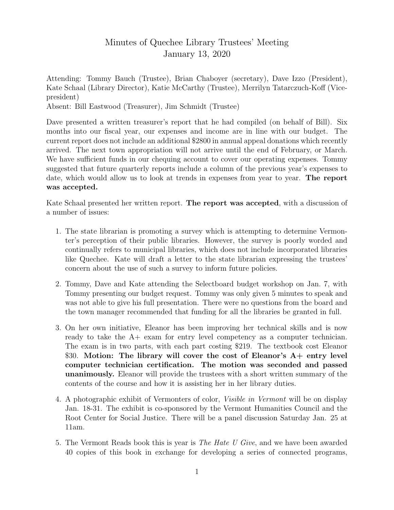## Minutes of Quechee Library Trustees' Meeting January 13, 2020

Attending: Tommy Bauch (Trustee), Brian Chaboyer (secretary), Dave Izzo (President), Kate Schaal (Library Director), Katie McCarthy (Trustee), Merrilyn Tatarczuch-Koff (Vicepresident)

Absent: Bill Eastwood (Treasurer), Jim Schmidt (Trustee)

Dave presented a written treasurer's report that he had compiled (on behalf of Bill). Six months into our fiscal year, our expenses and income are in line with our budget. The current report does not include an additional \$2800 in annual appeal donations which recently arrived. The next town appropriation will not arrive until the end of February, or March. We have sufficient funds in our chequing account to cover our operating expenses. Tommy suggested that future quarterly reports include a column of the previous year's expenses to date, which would allow us to look at trends in expenses from year to year. The report was accepted.

Kate Schaal presented her written report. The report was accepted, with a discussion of a number of issues:

- 1. The state librarian is promoting a survey which is attempting to determine Vermonter's perception of their public libraries. However, the survey is poorly worded and continually refers to municipal libraries, which does not include incorporated libraries like Quechee. Kate will draft a letter to the state librarian expressing the trustees' concern about the use of such a survey to inform future policies.
- 2. Tommy, Dave and Kate attending the Selectboard budget workshop on Jan. 7, with Tommy presenting our budget request. Tommy was only given 5 minutes to speak and was not able to give his full presentation. There were no questions from the board and the town manager recommended that funding for all the libraries be granted in full.
- 3. On her own initiative, Eleanor has been improving her technical skills and is now ready to take the A+ exam for entry level competency as a computer technician. The exam is in two parts, with each part costing \$219. The textbook cost Eleanor \$30. Motion: The library will cover the cost of Eleanor's A+ entry level computer technician certification. The motion was seconded and passed unanimously. Eleanor will provide the trustees with a short written summary of the contents of the course and how it is assisting her in her library duties.
- 4. A photographic exhibit of Vermonters of color, Visible in Vermont will be on display Jan. 18-31. The exhibit is co-sponsored by the Vermont Humanities Council and the Root Center for Social Justice. There will be a panel discussion Saturday Jan. 25 at 11am.
- 5. The Vermont Reads book this is year is The Hate U Give, and we have been awarded 40 copies of this book in exchange for developing a series of connected programs,